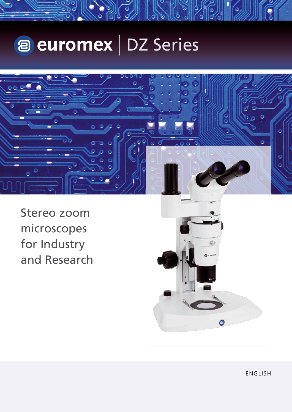# a euromex | DZ Series



Stereo zoom microscopes for Industry and Research



ENGLISH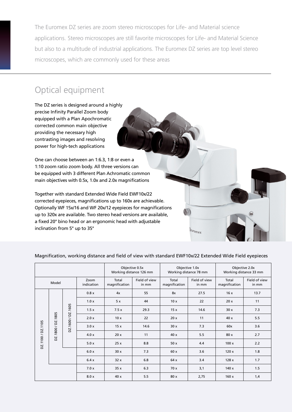The Euromex DZ series are zoom stereo microscopes for Life- and Material science applications. Stereo microscopes are still favorite microscopes for Life- and Material Science but also to a multitude of industrial applications. The Euromex DZ series are top level stereo microscopes, which are commonly used for these areas

# Optical equipment



|                 |                   |                       |                    | Objective 0.5x<br>Working distance 126 mm |                        | Objective 1.0x<br>Working distance 78 mm |                        | Objective 2.0x<br>Working distance 33 mm |                        |
|-----------------|-------------------|-----------------------|--------------------|-------------------------------------------|------------------------|------------------------------------------|------------------------|------------------------------------------|------------------------|
| Model           |                   |                       | Zoom<br>indication | Total<br>magnification                    | Field of view<br>in mm | Total<br>magnification                   | Field of view<br>in mm | Total<br>magnification                   | Field of view<br>in mm |
| DZ.1100/DZ.1105 | DZ.1800 / DZ.1805 | 1605<br>DZ.1600 / DZ. | 0.8x               | 4x                                        | 55                     | 8x                                       | 27.5                   | 16x                                      | 13.7                   |
|                 |                   |                       | 1.0x               | 5x                                        | 44                     | 10x                                      | 22                     | 20x                                      | 11                     |
|                 |                   |                       | 1.5x               | 7.5x                                      | 29.3                   | 15x                                      | 14.6                   | 30x                                      | 7.3                    |
|                 |                   |                       | 2.0 x              | 10x                                       | 22                     | 20x                                      | 11                     | 40 x                                     | 5.5                    |
|                 |                   |                       | 3.0x               | 15x                                       | 14.6                   | 30x                                      | 7.3                    | 60x                                      | 3.6                    |
|                 |                   |                       | 4.0 x              | 20x                                       | 11                     | 40 x                                     | 5.5                    | 80 x                                     | 2.7                    |
|                 |                   |                       | 5.0x               | 25x                                       | 8.8                    | 50x                                      | 4.4                    | 100x                                     | 2.2                    |
|                 |                   |                       | 6.0x               | 30x                                       | 7.3                    | 60 x                                     | 3.6                    | 120x                                     | 1.8                    |
|                 |                   |                       | 6.4x               | 32x                                       | 6.8                    | 64 x                                     | 3.4                    | 128x                                     | 1.7                    |
|                 |                   |                       | 7.0x               | 35x                                       | 6.3                    | 70 x                                     | 3,1                    | 140 x                                    | 1.5                    |
|                 |                   |                       | 8.0 x              | 40x                                       | 5.5                    | 80 x                                     | 2,75                   | 160x                                     | 1,4                    |

### Magnification, working distance and field of view with standard EWF10x/22 Extended Wide Field eyepieces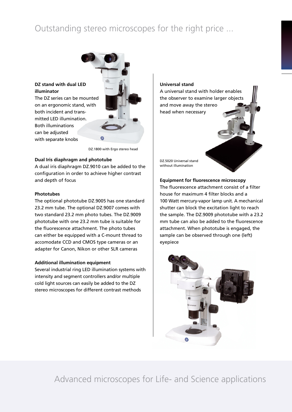# Outstanding stereo microscopes for the right price ...



DZ.1800 with Ergo stereo head

#### **Dual Iris diaphragm and phototube**

A dual iris diaphragm DZ.9010 can be added to the configuration in order to achieve higher contrast and depth of focus

#### **Phototubes**

The optional phototube DZ.9005 has one standard 23.2 mm tube. The optional DZ.9007 comes with two standard 23.2 mm photo tubes. The DZ.9009 phototube with one 23.2 mm tube is suitable for the fluorescence attachment. The photo tubes can either be equipped with a C-mount thread to accomodate CCD and CMOS type cameras or an adapter for Canon, Nikon or other SLR cameras

#### **Additional illumination equipment**

Several industrial ring LED illumination systems with intensity and segment controllers and/or multiple cold light sources can easily be added to the DZ stereo microscopes for different contrast methods

**Universal stand**

A universal stand with holder enables the observer to examine larger objects and move away the stereo head when necessary

DZ.5020 Universal stand without illumination

**Equipment for fluorescence microscopy** The fluorescence attachment consist of a filter house for maximum 4 filter blocks and a 100 Watt mercury-vapor lamp unit. A mechanical shutter can block the excitation light to reach the sample. The DZ.9009 phototube with a 23.2 mm tube can also be added to the fluorescence attachment. When phototube is engaged, the sample can be observed through one (left) eyepiece



Advanced microscopes for Life- and Science applications